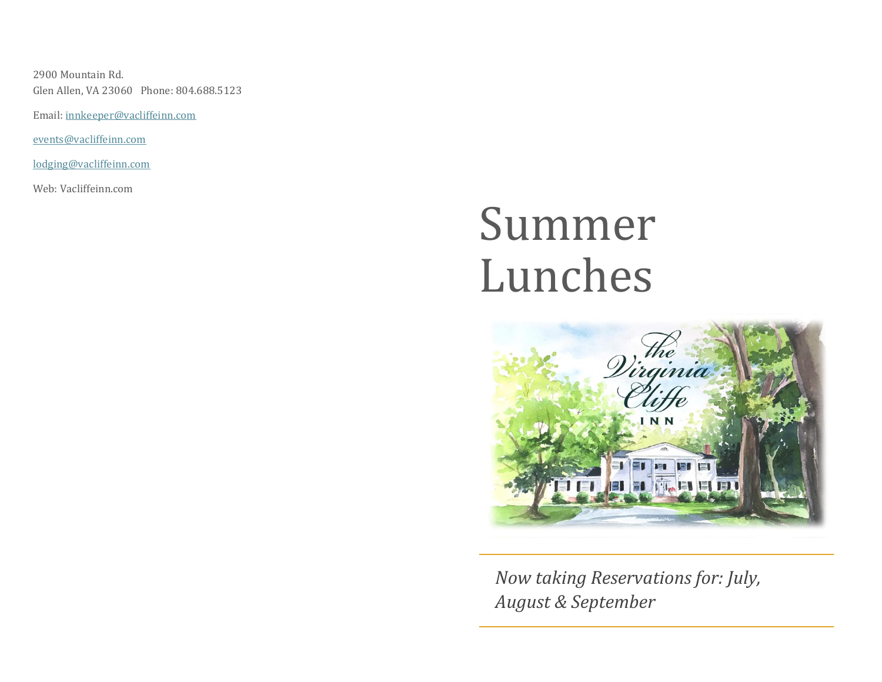2900 Mountain Rd. Glen Allen, VA 23060 Phone: 804.688.5123

Email: [innkeeper@vacliffeinn.com](mailto:innkeeper@vacliffeinn.com)

[events@vacliffeinn.com](mailto:events@vacliffeinn.com)

[lodging@vacliffeinn.com](mailto:lodging@vacliffeinn.com)

Web: Vacliffeinn.com

# Summer Lunches



*Now taking Reservations for: July, August & September*